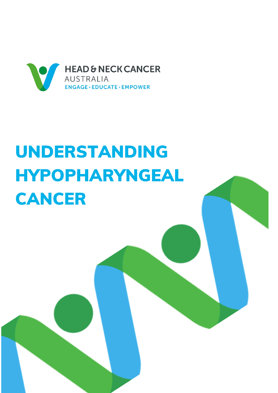

# UNDERSTANDING **HYPOPHARYNGEAL CANCER**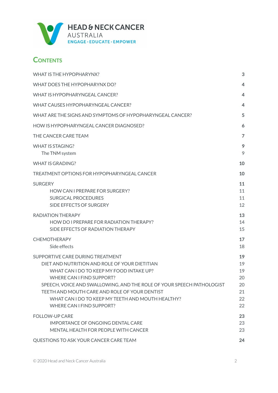

### **CONTENTS**

| WHAT IS THE HYPOPHARYNX?                                                                                                                                                                                                                                                                                                                                                      | 3                                            |
|-------------------------------------------------------------------------------------------------------------------------------------------------------------------------------------------------------------------------------------------------------------------------------------------------------------------------------------------------------------------------------|----------------------------------------------|
| WHAT DOES THE HYPOPHARYNX DO?                                                                                                                                                                                                                                                                                                                                                 | 4                                            |
| WHAT IS HYPOPHARYNGEAL CANCER?                                                                                                                                                                                                                                                                                                                                                | 4                                            |
| WHAT CAUSES HYPOPHARYNGEAL CANCER?                                                                                                                                                                                                                                                                                                                                            | $\overline{4}$                               |
| WHAT ARE THE SIGNS AND SYMPTOMS OF HYPOPHARYNGEAL CANCER?                                                                                                                                                                                                                                                                                                                     | 5                                            |
| HOW IS HYPOPHARYNGFAL CANCER DIAGNOSED?                                                                                                                                                                                                                                                                                                                                       | 6                                            |
| THE CANCER CARE TEAM                                                                                                                                                                                                                                                                                                                                                          | $\overline{7}$                               |
| WHAT IS STAGING?<br>The TNM system                                                                                                                                                                                                                                                                                                                                            | 9<br>9                                       |
| <b>WHAT IS GRADING?</b>                                                                                                                                                                                                                                                                                                                                                       | 10                                           |
| TREATMENT OPTIONS FOR HYPOPHARYNGFAL CANCER                                                                                                                                                                                                                                                                                                                                   | 10                                           |
| <b>SURGERY</b><br>HOW CAN I PREPARE FOR SURGERY?<br><b>SURGICAL PROCEDURES</b><br>SIDE EFFECTS OF SURGERY                                                                                                                                                                                                                                                                     | 11<br>11<br>11<br>12                         |
| <b>RADIATION THERAPY</b><br>HOW DO I PREPARE FOR RADIATION THERAPY?<br>SIDE EFFECTS OF RADIATION THERAPY                                                                                                                                                                                                                                                                      | 13<br>14<br>15                               |
| <b>CHEMOTHERAPY</b><br>Side effects                                                                                                                                                                                                                                                                                                                                           | 17<br>18                                     |
| SUPPORTIVE CARE DURING TREATMENT<br>DIET AND NUTRITION AND ROLE OF YOUR DIETITIAN<br>WHAT CAN I DO TO KEEP MY FOOD INTAKE UP?<br>WHERE CAN I FIND SUPPORT?<br>SPEECH, VOICE AND SWALLOWING, AND THE ROLE OF YOUR SPEECH PATHOLOGIST<br>TEETH AND MOUTH CARE AND ROLE OF YOUR DENTIST<br>WHAT CAN I DO TO KEEP MY TEETH AND MOUTH HEALTHY?<br><b>WHERE CAN I FIND SUPPORT?</b> | 19<br>19<br>19<br>20<br>20<br>21<br>22<br>22 |
| <b>FOLLOW-UP CARE</b><br><b>IMPORTANCE OF ONGOING DENTAL CARE</b><br>MENTAL HEALTH FOR PEOPLE WITH CANCER                                                                                                                                                                                                                                                                     | 23<br>23<br>23                               |
| QUESTIONS TO ASK YOUR CANCER CARE TEAM                                                                                                                                                                                                                                                                                                                                        | 24                                           |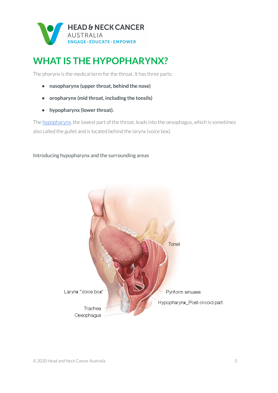

## <span id="page-2-0"></span>**WHAT IS THE HYPOPHARYNX?**

The pharynx is the medical term for the throat. It has three parts:

- **• nasopharynx (upper throat, behind the nose)**
- **• oropharynx (mid throat, including the tonsils)**
- **• hypopharynx (lower throat).**

The [hypopharynx,](https://www.headandneckcancer.org.au/head-and-neck-cancer-types/hypopharyngeal-cancer) the lowest part of the throat, leads into the oesophagus, which is sometimes also called the gullet and is located behind the larynx (voice box).

#### Introducing hypopharynx and the surrounding areas

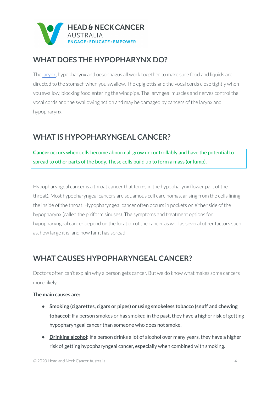

### <span id="page-3-0"></span>**WHAT DOES THE HYPOPHARYNX DO?**

The [larynx,](https://www.headandneckcancer.org.au/head-and-neck-cancer-types/hypopharyngeal-cancer) hypopharynx and oesophagus all work together to make sure food and liquids are directed to the stomach when you swallow. The epiglottis and the vocal cords close tightly when you swallow, blocking food entering the windpipe. The laryngeal muscles and nerves control the vocal cords and the swallowing action and may be damaged by cancers of the larynx and hypopharynx.

### <span id="page-3-1"></span>**WHAT IS HYPOPHARYNGEAL CANCER?**

**[Cancer](http://www.cancer.org.au/about-cancer/what-is-cancer)** occurs when cells become abnormal, grow uncontrollably and have the potential to spread to other parts of the body. These cells build up to form a mass (or lump).

Hypopharyngeal canceris a throat cancerthat forms in the hypopharynx (lower part of the throat). Most hypopharyngeal cancers are squamous cell carcinomas, arising from the cells lining the inside of the throat. Hypopharyngeal cancer often occurs in pockets on either side of the hypopharynx (called the piriform sinuses). The symptoms and treatment options for hypopharyngeal cancer depend on the location of the cancer as well as several other factors such as, how large it is, and how far it has spread.

### <span id="page-3-2"></span>**WHAT CAUSES HYPOPHARYNGEAL CANCER?**

Doctors often can't explain why a person gets cancer. But we do know what makes some cancers more likely.

#### **The main causes are:**

- **• [Smoking](https://www.icanquit.com.au/) (cigarettes, cigars or pipes) or using smokeless tobacco (snuff and chewing tobacco):** If a person smokes or has smoked in the past, they have a higher risk of getting hypopharyngeal cancer than someone who does not smoke.
- **• [Drinking](http://www.cancer.org.au/preventing-cancer/reduce-your-risk/limit-alcohol.html) alcohol:** If a person drinks a lot of alcohol over many years, they have a higher risk of getting hypopharyngeal cancer, especially when combined with smoking.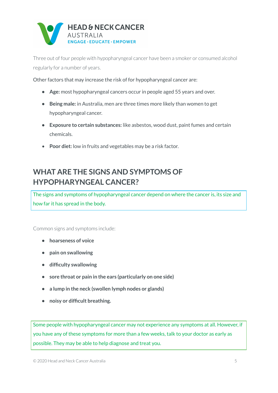

Three out of four people with hypopharyngeal cancer have been a smoker or consumed alcohol regularly for a number of years.

Other factors that may increase the risk of for hypopharyngeal cancer are:

- **• Age:** most hypopharyngeal cancers occur in people aged 55 years and over.
- **• Being male:** in Australia, men are three times more likely than women to get hypopharyngeal cancer.
- **• Exposure to certain substances:** like asbestos, wood dust, paint fumes and certain chemicals.
- **Poor diet:** low in fruits and vegetables may be a risk factor.

### <span id="page-4-0"></span>**WHAT ARE THE SIGNS AND SYMPTOMS OF HYPOPHARYNGEAL CANCER?**

The signs and symptoms of hypopharyngeal cancer depend on where the cancer is, its size and how far it has spread in the body.

Common signs and symptoms include:

- **• hoarseness of voice**
- **• pain on swallowing**
- **• difficulty swallowing**
- **• sore throat or pain in the ears (particularly on one side)**
- **• a lump in the neck (swollen lymph nodes or glands)**
- **• noisy or difficult breathing.**

Some people with hypopharyngeal cancer may not experience any symptoms at all. However, if you have any of these symptoms for more than a few weeks, talk to your doctor as early as possible. They may be able to help diagnose and treat you.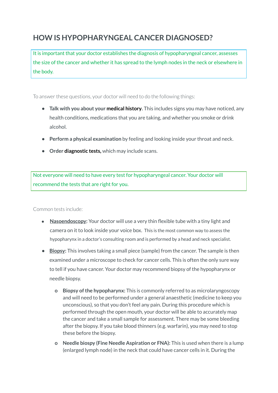### <span id="page-5-0"></span>**HOW IS HYPOPHARYNGEAL CANCER DIAGNOSED?**

It is important that your doctor establishes the diagnosis of hypopharyngeal cancer, assesses the size of the cancer and whether it has spread to the lymph nodes in the neck or elsewhere in the body.

To answer these questions, your doctor will need to do the following things:

- **• Talk with you about your medical history.** This includes signs you may have noticed, any health conditions, medications that you are taking, and whether you smoke or drink alcohol.
- **• Perform a physical examination** by feeling and looking inside your throat and neck.
- **• Order diagnostic tests,** which may include scans.

Not everyone will need to have every test for hypopharyngeal cancer. Your doctor will recommend the tests that are right for you.

Common tests include:

- **● [Nasoendoscopy:](https://beyondfive.org.au/Diagnosis/What-tests-do-I-need-to-have/Nasoendoscopy-and-Laryngoscopy.aspx#Test-Nasoendoscopy)** Your doctor will use a very thin flexible tube with a tiny light and camera on it to look inside your voice box. This is the most common way to assess the hypopharynx in a doctor's consulting room and is performed by a head and neck specialist.
- **• [Biopsy](https://beyondfive.org.au/Diagnosis/What-tests-do-I-need-to-have/Biopsy.aspx):** This involves taking a small piece (sample) from the cancer. The sample is then examined under a microscope to check for cancer cells. This is often the only sure way to tell if you have cancer. Your doctor may recommend biopsy of the hypopharynx or needle biopsy.
	- **o Biopsy ofthe hypopharynx:** This is commonly referred to as microlaryngoscopy and will need to be performed under a general anaesthetic (medicine to keep you unconscious), so that you don't feel any pain. During this procedure which is performed through the open mouth, your doctor will be able to accurately map the cancer and take a small sample for assessment. There may be some bleeding after the biopsy. If you take blood thinners (e.g. warfarin), you may need to stop these before the biopsy.
	- **o Needle biospy (Fine Needle Aspiration or FNA):** This is used when there is a lump (enlarged lymph node) in the neck that could have cancer cells in it. During the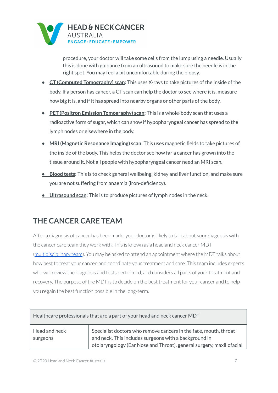

procedure, your doctor will take some cells from the lump using a needle. Usually this is done with guidance from an ultrasound to make sure the needle is in the right spot. You may feel a bit uncomfortable during the biopsy.

- **• CT (Computed [Tomography\)](https://beyondfive.org.au/Diagnosis/What-tests-do-I-need-to-have/CT-scan-and-MRI-scan.aspx) scan:** This uses X-rays to take pictures of the inside of the body. If a person has cancer, a CT scan can help the doctor to see where it is, measure how big it is, and if it has spread into nearby organs or other parts of the body.
- **• PET (Positron Emission [Tomography\)](https://beyondfive.org.au/Diagnosis/What-tests-do-I-need-to-have/PET-scan.aspx) scan:** This is a whole-body scan that uses a radioactive form of sugar, which can show if hypopharyngeal cancer has spread to the lymph nodes or elsewhere in the body.
- **• MRI (Magnetic [Resonance](https://beyondfive.org.au/Diagnosis/What-tests-do-I-need-to-have/CT-scan-and-MRI-scan.aspx) Imaging) scan:** This uses magnetic fields to take pictures of the inside of the body. This helps the doctor see how far a cancer has grown into the tissue around it. Not all people with hypopharyngeal cancer need an MRI scan.
- **• [Blood](https://www.beyondfive.org.au/Diagnosis/What-tests-do-I-need-to-have/Pathology-tests.aspx) tests:** This is to check general wellbeing, kidney and liver function, and make sure you are not suffering from anaemia (iron-deficiency).
- **• [Ultrasound](https://beyondfive.org.au/Diagnosis/What-tests-do-I-need-to-have/HPV-Ultrasound-X-ray-and-Audiometry-tests.aspx) scan:** This is to produce pictures of lymph nodes in the neck.

### <span id="page-6-0"></span>**THE CANCER CARE TEAM**

After a diagnosis of cancer has been made, your doctor is likely to talk about your diagnosis with the cancer care team they work with. This is known as a head and neck cancer MDT [\(multidisciplinary](https://www.headandneckcancer.org.au/diagnosis/the-cancer-care-team) team). You may be asked to attend an appointment where the MDT talks about how best to treat your cancer, and coordinate your treatment and care. This team includes experts who will review the diagnosis and tests performed, and considers all parts of your treatment and recovery. The purpose of the MDT is to decide on the best treatment for your cancer and to help you regain the best function possible in the long-term.

| Healthcare professionals that are a part of your head and neck cancer MDT |                                                                                                                                                                                                   |  |
|---------------------------------------------------------------------------|---------------------------------------------------------------------------------------------------------------------------------------------------------------------------------------------------|--|
| Head and neck<br>surgeons                                                 | Specialist doctors who remove cancers in the face, mouth, throat<br>and neck. This includes surgeons with a background in<br>otolaryngology (Ear Nose and Throat), general surgery, maxillofacial |  |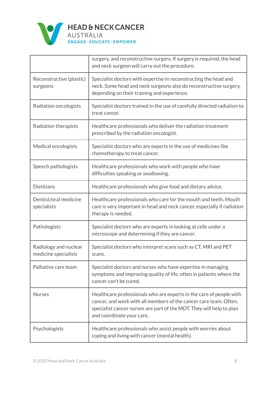

|                                               | surgery, and reconstructive surgery. If surgery is required, the head<br>and neck surgeon will carry out the procedure.                                                                                                                       |
|-----------------------------------------------|-----------------------------------------------------------------------------------------------------------------------------------------------------------------------------------------------------------------------------------------------|
| Reconstructive (plastic)<br>surgeons          | Specialist doctors with expertise in reconstructing the head and<br>neck. Some head and neck surgeons also do reconstructive surgery,<br>depending on their training and experience.                                                          |
| Radiation oncologists                         | Specialist doctors trained in the use of carefully directed radiation to<br>treat cancer.                                                                                                                                                     |
| Radiation therapists                          | Healthcare professionals who deliver the radiation treatment<br>prescribed by the radiation oncologist.                                                                                                                                       |
| Medical oncologists                           | Specialist doctors who are experts in the use of medicines like<br>chemotherapy to treat cancer.                                                                                                                                              |
| Speech pathologists                           | Healthcare professionals who work with people who have<br>difficulties speaking or swallowing.                                                                                                                                                |
| <b>Dietitians</b>                             | Healthcare professionals who give food and dietary advice.                                                                                                                                                                                    |
| Dentist/oral medicine<br>specialists          | Healthcare professionals who care for the mouth and teeth. Mouth<br>care is very important in head and neck cancer, especially if radiation<br>therapy is needed.                                                                             |
| Pathologists                                  | Specialist doctors who are experts in looking at cells under a<br>microscope and determining if they are cancer.                                                                                                                              |
| Radiology and nuclear<br>medicine specialists | Specialist doctors who interpret scans such as CT, MRI and PET<br>scans.                                                                                                                                                                      |
| Palliative care team                          | Specialist doctors and nurses who have expertise in managing<br>symptoms and improving quality of life, often in patients where the<br>cancer can't be cured.                                                                                 |
| <b>Nurses</b>                                 | Healthcare professionals who are experts in the care of people with<br>cancer, and work with all members of the cancer care team. Often,<br>specialist cancer nurses are part of the MDT. They will help to plan<br>and coordinate your care. |
| Psychologists                                 | Healthcare professionals who assist people with worries about<br>coping and living with cancer (mental health).                                                                                                                               |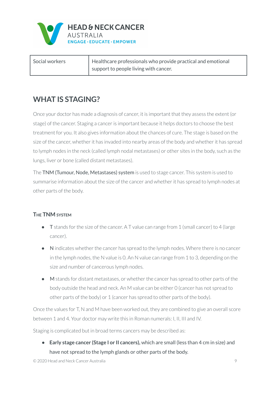

| Social workers | $\parallel$ Healthcare professionals who provide practical and emotional |
|----------------|--------------------------------------------------------------------------|
|                | I support to people living with cancer.                                  |

### <span id="page-8-0"></span>**WHAT IS STAGING?**

Once your doctor has made a diagnosis of cancer, it is important that they assess the extent (or stage) of the cancer. Staging a cancer is important because it helps doctors to choose the best treatment for you. It also gives information about the chances of cure. The stage is based on the size of the cancer, whether it has invaded into nearby areas of the body and whether it has spread to lymph nodes in the neck (called lymph nodal metastases) or other sites in the body, such as the lungs, liver or bone (called distant metastases).

The TNM (Tumour, Node, Metastases) system is used to stage cancer. This system is used to summarise information about the size of the cancer and whether it has spread to lymph nodes at other parts of the body.

### <span id="page-8-1"></span>**THE TNM SYSTEM**

- T stands for the size of the cancer. A T value can range from 1 (small cancer) to 4 (large cancer).
- N indicates whether the cancer has spread to the lymph nodes. Where there is no cancer in the lymph nodes, the N value is 0. An N value can range from 1 to 3, depending on the size and number of cancerous lymph nodes.
- M stands for distant metastases, or whether the cancer has spread to other parts of the body outside the head and neck. An M value can be either 0 (cancer has not spread to other parts of the body) or 1 (cancer has spread to other parts of the body).

Once the values for T, N and M have been worked out, they are combined to give an overall score between 1 and 4. Your doctor may write this in Roman numerals: I, II, III and IV.

Staging is complicated but in broad terms cancers may be described as:

**• Early stage cancer (Stage I or II cancers),** which are small (less than 4 cm in size) and have not spread to the lymph glands or other parts of the body.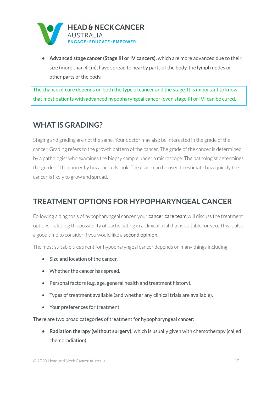

**• Advanced stage cancer (Stage III or IV cancers),** which are more advanced due to their size (more than 4 cm), have spread to nearby parts of the body, the lymph nodes or other parts of the body.

The chance of cure depends on both the type of cancer and the stage. It is important to know that most patients with advanced hypopharyngeal cancer (even stage III or IV) can be cured.

### <span id="page-9-0"></span>**WHAT IS GRADING?**

Staging and grading are not the same. Your doctor may also be interested in the grade of the cancer. Grading refers to the growth pattern of the cancer. The grade of the canceris determined by a pathologist who examines the biopsy sample under a microscope. The pathologist determines the grade of the cancer by how the cells look. The grade can be used to estimate how quickly the canceris likely to grow and spread.

### <span id="page-9-1"></span>**TREATMENT OPTIONS FOR HYPOPHARYNGEAL CANCER**

Following a diagnosis of hypopharyngeal [cancer](https://www.beyondfive.org.au/Diagnosis/The-cancer-care-team.aspx), your **cancer care team** will discuss the treatment options including the possibility of participating in a clinical trial that is suitable for you. This is also a good time to consider if you would like a **second [opinion](https://www.beyondfive.org.au/Diagnosis/Understanding-diagnosis/Understanding-your-diagnosis.aspx)**.

The most suitable treatment for hypopharyngeal cancer depends on many things including:

- Size and location of the cancer.
- Whether the cancer has spread.
- Personal factors (e.g. age, general health and treatment history).
- Types of treatment available (and whether any clinical trials are available).
- Your preferences for treatment.

There are two broad categories of treatment for hypopharyngeal cancer:

**• [Radiation](https://beyondfive.org.au/Treatment/Hypopharyngeal-cancer/Radiation-therapy.aspx) therapy (without surgery):** which is usually given with chemotherapy (called chemoradiation)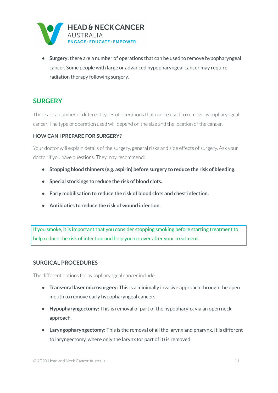

**• [Surgery:](https://beyondfive.org.au/Treatment/Hypopharyngeal-cancer/Surgery.aspx)** there are a number of operations that can be used to remove hypopharyngeal cancer. Some people with large or advanced hypopharyngeal cancer may require radiation therapy following surgery.

### <span id="page-10-0"></span>**SURGERY**

There are a number of different types of operations that can be used to remove hypopharyngeal cancer. The type of operation used will depend on the size and the location of the cancer.

#### <span id="page-10-1"></span>**HOW CAN I PREPARE FOR SURGERY?**

Your doctor will explain details of the surgery, general risks and side effects of surgery. Ask your doctor if you have questions. They may recommend:

- **• Stopping blood thinners (e.g. aspirin) before surgery to reduce the risk of bleeding.**
- **• Special stockings to reduce the risk of blood clots.**
- **• Early mobilisation to reduce the risk of blood clots and chestinfection.**
- **• Antibiotics to reduce the risk of wound infection.**

If you smoke, it is important that you consider stopping smoking before starting treatment to help reduce the risk of infection and help you recover after your treatment.

#### <span id="page-10-2"></span>**SURGICAL PROCEDURES**

The different options for hypopharyngeal cancer include:

- **• Trans-oral laser microsurgery:** This is a minimally invasive approach through the open mouth to remove early hypopharyngeal cancers.
- **• Hypopharyngectomy:** This is removal of part of the hypopharynx via an open neck approach.
- **• Laryngopharyngectomy:** This is the removal of all the larynx and pharynx. It is different to laryngectomy, where only the larynx (or part of it) is removed.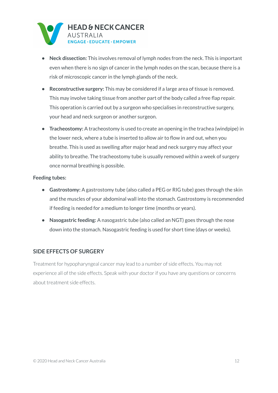

- **• Neck dissection:** This involves removal of lymph nodes from the neck. This is important even when there is no sign of cancer in the lymph nodes on the scan, because there is a risk of microscopic cancer in the lymph glands of the neck.
- **• Reconstructive surgery:** This may be considered if a large area of tissue is removed. This may involve taking tissue from another part of the body called a free flap repair. This operation is carried out by a surgeon who specialises in reconstructive surgery, your head and neck surgeon or another surgeon.
- **• Tracheostomy:** A tracheostomy is used to create an opening in the trachea (windpipe) in the lower neck, where a tube is inserted to allow air to flow in and out, when you breathe. This is used as swelling after major head and neck surgery may affect your ability to breathe. The tracheostomy tube is usually removed within a week of surgery once normal breathing is possible.

#### **Feeding tubes:**

- **• Gastrostomy:** A gastrostomy tube (also called a PEG or RIG tube) goes through the skin and the muscles of your abdominal wall into the stomach. Gastrostomy is recommended if feeding is needed for a medium to longer time (months or years).
- **• Nasogastric feeding:** A nasogastric tube (also called an NGT) goes through the nose down into the stomach. Nasogastric feeding is used for short time (days or weeks).

#### <span id="page-11-0"></span>**SIDE EFFECTS OF SURGERY**

Treatment for hypopharyngeal cancer may lead to a number of side effects. You may not experience all of the side effects. Speak with your doctor if you have any questions or concerns about treatment side effects.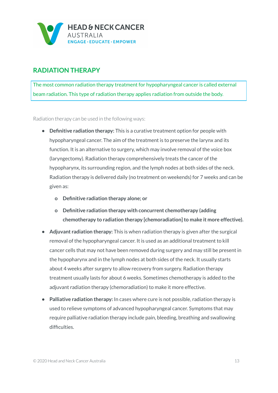

### <span id="page-12-0"></span>**RADIATION THERAPY**

The most common radiation therapy treatment for hypopharyngeal cancer is called [external](http://www.targetingcancer.com.au/radiation-therapy/ebrt/) beam [radiation.](http://www.targetingcancer.com.au/radiation-therapy/ebrt/) This type of radiation therapy applies radiation from outside the body.

Radiation therapy can be used in the following ways:

- **• Definitive radiation therapy:** This is a curative treatment option for people with hypopharyngeal cancer. The aim of the treatment is to preserve the larynx and its function. It is an alternative to surgery, which may involve removal of the voice box (laryngectomy). Radiation therapy comprehensively treats the cancer of the hypopharynx, its surrounding region, and the lymph nodes at both sides of the neck. Radiation therapy is delivered daily (no treatment on weekends) for 7 weeks and can be given as:
	- **o Definitive radiation therapy alone; or**
	- **o Definitive radiation therapy with concurrent chemotherapy (adding chemotherapy to radiation therapy [chemoradiation]to make it more effective).**
- **• Adjuvant radiation therapy:** This is when radiation therapy is given after the surgical removal of the hypopharyngeal cancer. It is used as an additional treatment to kill cancer cells that may not have been removed during surgery and may still be present in the hypopharynx and in the lymph nodes at both sides of the neck. It usually starts about 4 weeks after surgery to allow recovery from surgery. Radiation therapy treatment usually lasts for about 6 weeks. Sometimes chemotherapy is added to the adjuvant radiation therapy (chemoradiation) to make it more effective.
- **• Palliative radiation therapy:** In cases where cure is not possible, radiation therapy is used to relieve symptoms of advanced hypopharyngeal cancer. Symptoms that may require palliative radiation therapy include pain, bleeding, breathing and swallowing difficulties.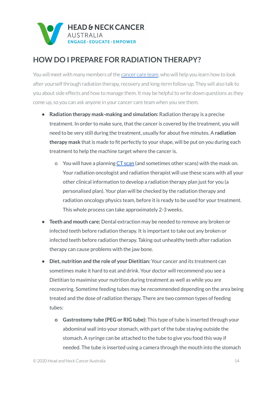

### <span id="page-13-0"></span>**HOW DO I PREPARE FOR RADIATION THERAPY?**

You will meet with many members of the [cancer](https://www.headandneckcancer.org.au/diagnosis/the-cancer-care-team) care team, who will help you learn how to look after yourself through radiation therapy, recovery and long-term follow-up. They will also talk to you about side effects and how to manage them. It may be helpful to write down questions as they come up, so you can ask anyone in your cancer care team when you see them.

- **• Radiation therapy mask-making and simulation:** Radiation therapy is a precise treatment. In order to make sure, that the cancer is covered by the treatment, you will need to be very still during the treatment, usually for about five minutes. A **radiation therapy mask** that is made to fit perfectly to your shape, will be put on you during each treatment to help the machine target where the cancer is.
	- o You will have a planning CT [scan](https://www.headandneckcancer.org.au/diagnosis/head-and-neck-cancer-tests/imaging-tests) (and sometimes other scans) with the mask on. Your radiation oncologist and radiation therapist will use these scans with all your other clinical information to develop a radiation therapy plan just for you (a personalised plan). Your plan will be checked by the radiation therapy and radiation oncology physics team, before it is ready to be used for your treatment. This whole process can take approximately 2-3 weeks.
- **• Teeth and mouth care:** Dental extraction may be needed to remove any broken or infected teeth before radiation therapy. It is important to take out any broken or infected teeth before radiation therapy. Taking out unhealthy teeth after radiation therapy can cause problems with the jaw bone.
- **• Diet, nutrition and the role of your Dietitian:** Your cancer and its treatment can sometimes make it hard to eat and drink. Your doctor will recommend you see a Dietitian to maximise your nutrition during treatment as well as while you are recovering. Sometime feeding tubes may be recommended depending on the area being treated and the dose of radiation therapy. There are two common types of feeding tubes:
	- **o Gastrostomy tube (PEG or RIG tube):** This type of tube is inserted through your abdominal wall into your stomach, with part of the tube staying outside the stomach. A syringe can be attached to the tube to give you food this way if needed. The tube is inserted using a camera through the mouth into the stomach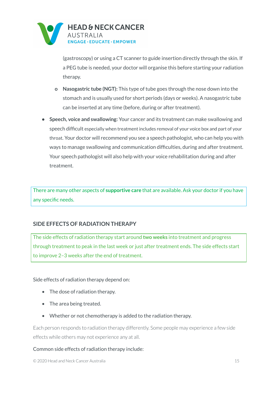

(gastroscopy) or using a CT scanner to guide insertion directly through the skin. If a PEG tube is needed, your doctor will organise this before starting your radiation therapy.

- **o Nasogastric tube (NGT):** This type of tube goes through the nose down into the stomach and is usually used for short periods (days or weeks). A nasogastric tube can be inserted at any time (before, during or after treatment).
- **• Speech, voice and swallowing:** Your cancer and its treatment can make swallowing and speech difficult especially when treatment includes removal of your voice box and part of your throat. Your doctor will recommend you see a speech pathologist, who can help you with ways to manage swallowing and communication difficulties, during and after treatment. Your speech pathologist will also help with your voice rehabilitation during and after treatment.

There are many other aspects of **[supportive](https://beyondfive.org.au/Life-after-cancer/Supportive-care.aspx) care** that are available. Ask your doctor if you have any specific needs.

#### <span id="page-14-0"></span>**SIDE EFFECTS OF RADIATION THERAPY**

The side effects of radiation therapy start around **two weeks** into treatment and progress through treatment to peak in the last week or just after treatment ends. The side effects start to improve 2–3 weeks after the end of treatment.

Side effects of radiation therapy depend on:

- The dose of radiation therapy.
- The area being treated.
- Whether or not chemotherapy is added to the radiation therapy.

Each person responds to radiation therapy differently. Some people may experience a few side effects while others may not experience any at all.

#### Common side effects of radiation therapy include:

© 2020 Head and Neck Cancer Australia 15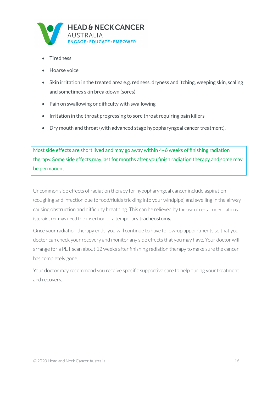

- **Tiredness**
- Hoarse voice
- Skin irritation in the treated area e.g. redness, dryness and itching, weeping skin, scaling and sometimes skin breakdown (sores)
- Pain on swallowing or difficulty with swallowing
- Irritation in the throat progressing to sore throat requiring pain killers
- Dry mouth and throat (with advanced stage hypopharyngeal cancer treatment).

Most side effects are short lived and may go away within 4–6 weeks of finishing radiation therapy. Some side effects may last for months after you finish radiation therapy and some may be permanent.

Uncommon side effects of radiation therapy for hypopharyngeal cancer include aspiration (coughing and infection due to food/fluids trickling into your windpipe) and swelling in the airway causing obstruction and difficulty breathing. This can be relieved by the use of certain medications (steroids) or may need the insertion of a temporary tracheostomy.

Once your radiation therapy ends, you will continue to have follow-up appointments so that your doctor can check your recovery and monitor any side effects that you may have. Your doctor will arrange for a PET scan about 12 weeks after finishing radiation therapy to make sure the cancer has completely gone.

Your doctor may recommend you receive specific supportive care to help during your treatment and recovery.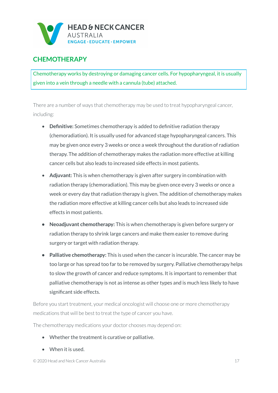

### <span id="page-16-0"></span>**CHEMOTHERAPY**

Chemotherapy works by destroying or damaging cancer cells. For hypopharyngeal, it is usually given into a vein through a needle with a cannula (tube) attached.

There are a number of ways that chemotherapy may be used to treat hypopharyngeal cancer, including:

- **Definitive:** Sometimes chemotherapy is added to definitive radiation therapy (chemoradiation). It is usually used for advanced stage hypopharyngeal cancers. This may be given once every 3 weeks or once a week throughout the duration of radiation therapy. The addition of chemotherapy makes the radiation more effective at killing cancer cells but also leads to increased side effects in most patients.
- **Adjuvant:** This is when chemotherapy is given after surgery in combination with radiation therapy (chemoradiation). This may be given once every 3 weeks or once a week or every day that radiation therapy is given. The addition of chemotherapy makes the radiation more effective at killing cancer cells but also leads to increased side effects in most patients.
- **• Neoadjuvant chemotherapy:** This is when chemotherapy is given before surgery or radiation therapy to shrink large cancers and make them easier to remove during surgery or target with radiation therapy.
- **• Palliative chemotherapy:** This is used when the cancer is incurable. The cancer may be too large or has spread too far to be removed by surgery. Palliative chemotherapy helps to slow the growth of cancer and reduce symptoms. It is important to remember that palliative chemotherapy is not as intense as other types and is much less likely to have significant side effects.

Before you start treatment, your medical oncologist will choose one or more chemotherapy medications that will be best to treat the type of cancer you have.

The chemotherapy medications your doctor chooses may depend on:

- Whether the treatment is curative or palliative.
- When it is used.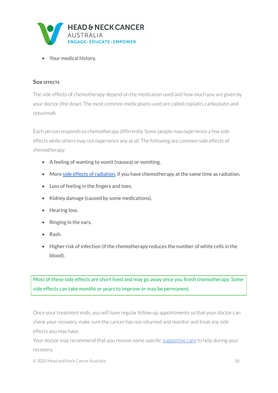

• Your medical history.

#### <span id="page-17-0"></span>**SIDE EFFECTS**

The side effects of chemotherapy depend on the medication used and how much you are given by your doctor (the dose). The most common medications used are called cisplatin, carboplatin and cetuximab.

Each person responds to chemotherapy differently. Some people may experience a few side effects while others may not experience any at all. The following are common side effects of chemotherapy:

- A feeling of wanting to vomit (nausea) or vomiting.
- More side effects of [radiation,](https://www.headandneckcancer.org.au/treatment-advice/coping-with-side-effects-of-radiation-therapy) if you have chemotherapy at the same time as radiation.
- Loss of feeling in the fingers and toes.
- Kidney damage (caused by some medications).
- Hearing loss.
- Ringing in the ears.
- Rash.
- Higher risk of infection (if the chemotherapy reduces the number of white cells in the blood).

Most of these side effects are short lived and may go away once you finish chemotherapy. Some side effects can take months or years to improve or may be permanent.

Once your treatment ends, you will have regular follow-up appointments so that your doctor can check your recovery, make sure the cancer has not returned and monitor and treat any side effects you may have.

Your doctor may recommend that you receive some specific [supportive](https://www.headandneckcancer.org.au/treatment/nasopharyngeal-cancer/supportive-care-1) care to help during your recovery.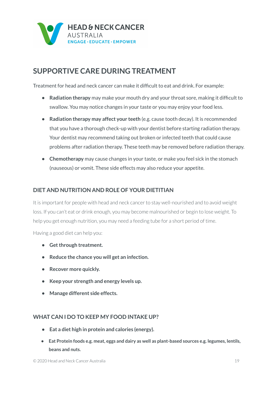

### <span id="page-18-0"></span>**SUPPORTIVE CARE DURING TREATMENT**

Treatment for head and neck cancer can make it difficult to eat and drink. For example:

- **• Radiation therapy** may make your mouth dry and your throat sore, making it difficult to swallow. You may notice changes in your taste or you may enjoy your food less.
- **• Radiation therapy may affect your teeth** (e.g. cause tooth decay). It is recommended that you have a thorough check-up with your dentist before starting radiation therapy. Your dentist may recommend taking out broken or infected teeth that could cause problems after radiation therapy. These teeth may be removed before radiation therapy.
- **• Chemotherapy** may cause changes in your taste, or make you feel sick in the stomach (nauseous) or vomit. These side effects may also reduce your appetite.

#### <span id="page-18-1"></span>**DIET AND NUTRITION AND ROLE OF YOUR DIETITIAN**

It is important for people with head and neck cancerto stay well-nourished and to avoid weight loss. If you can't eat or drink enough, you may become malnourished or begin to lose weight. To help you get enough nutrition, you may need a feeding tube for a short period of time.

Having a good diet can help you:

- **• Getthrough treatment.**
- **• Reduce the chance you will get an infection.**
- **• Recover more quickly.**
- **• Keep your strength and energy levels up.**
- **• Manage different side effects.**

#### <span id="page-18-2"></span>**WHAT CAN I DO TO KEEP MY FOOD INTAKE UP?**

- **• Eat a diet high in protein and calories (energy).**
- **• Eat Protein foods e.g. meat, eggs and dairy as well as plant-based sources e.g. legumes, lentils, beans and nuts.**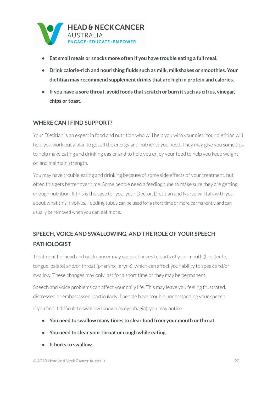

- **• Eat small meals or snacks more often if you have trouble eating a full meal.**
- **• Drink calorie-rich and nourishing fluids such as milk, milkshakes or smoothies. Your dietitian may recommend supplement drinks that are high in protein and calories.**
- **• If you have a sore throat, avoid foods that scratch or burn it such as citrus, vinegar, chips or toast.**

#### <span id="page-19-0"></span>**WHERE CAN I FIND SUPPORT?**

Your Dietitian is an expert in food and nutrition who will help you with your diet. Your dietitian will help you work out a plan to get all the energy and nutrients you need. They may give you some tips to help make eating and drinking easier and to help you enjoy your food to help you keep weight on and maintain strength.

You may have trouble eating and drinking because of some side effects of your treatment, but often this gets better over time. Some people need a feeding tube to make sure they are getting enough nutrition. If this is the case for you, your Doctor, Dietitian and Nurse will talk with you about what this involves. Feeding tubes can be used for a short time or more permanently and can usually be removed when you can eat more.

### <span id="page-19-1"></span>**SPEECH, VOICE AND SWALLOWING, AND THE ROLE OF YOUR SPEECH PATHOLOGIST**

Treatment for head and neck cancer may cause changes to parts of your mouth (lips, teeth, tongue, palate) and/or throat (pharynx, larynx), which can affect your ability to speak and/or swallow. These changes may only last for a short time or they may be permanent.

Speech and voice problems can affect your daily life. This may leave you feeling frustrated, distressed or embarrassed, particularly if people have trouble understanding your speech.

If you find it difficult to swallow (known as dysphagia), you may notice:

- **• You need to swallow many times to clear food from your mouth or throat.**
- **• You need to clear your throat or cough while eating.**
- **• It hurts to swallow.**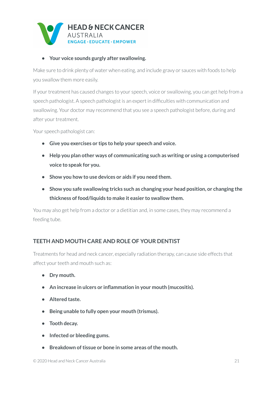

#### **• Your voice sounds gurgly after swallowing.**

Make sure to drink plenty of water when eating, and include gravy or sauces with foods to help you swallow them more easily.

If your treatment has caused changes to your speech, voice or swallowing, you can get help from a speech pathologist. A speech pathologist is an expert in difficulties with communication and swallowing. Your doctor may recommend that you see a speech pathologist before, during and after your treatment.

Your speech pathologist can:

- **• Give you exercises or tips to help your speech and voice.**
- **• Help you plan other ways of communicating such as writing or using a computerised voice to speak for you.**
- **• Show you how to use devices or aids if you need them.**
- **• Show you safe swallowing tricks such as changing your head position, or changing the thickness of food/liquids to make it easier to swallow them.**

You may also get help from a doctor or a dietitian and, in some cases, they may recommend a feeding tube.

### <span id="page-20-0"></span>**TEETH AND MOUTH CARE AND ROLE OF YOUR DENTIST**

Treatments for head and neck cancer, especially radiation therapy, can cause side effects that affect your teeth and mouth such as:

- **• Dry mouth.**
- **• An increase in ulcers or inflammation in your mouth (mucositis).**
- **• Altered taste.**
- **• Being unable to fully open your mouth (trismus).**
- **• Tooth decay.**
- **• Infected or bleeding gums.**
- **•** Breakdown of tissue or bone in some areas of the mouth.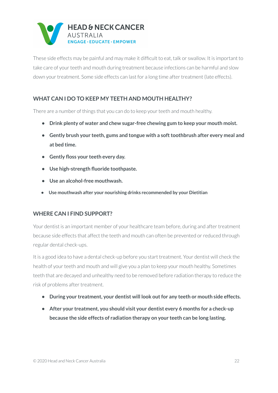

These side effects may be painful and may make it difficult to eat, talk or swallow. It is important to take care of your teeth and mouth during treatment because infections can be harmful and slow down your treatment. Some side effects can last for a long time after treatment (late effects).

#### <span id="page-21-0"></span>**WHAT CAN I DO TO KEEP MY TEETH AND MOUTH HEALTHY?**

There are a number of things that you can do to keep your teeth and mouth healthy.

- **• Drink plenty of water and chew sugar-free chewing gum to keep your mouth moist.**
- **• Gently brush your teeth, gums and tongue with a softtoothbrush after every meal and at bed time.**
- **• Gently floss your teeth every day.**
- **• Use high-strength fluoride toothpaste.**
- **• Use an alcohol-free mouthwash.**
- **• Use mouthwash after your nourishing drinks recommended by your Dietitian**

#### <span id="page-21-1"></span>**WHERE CAN I FIND SUPPORT?**

Your dentist is an important member of your healthcare team before, during and after treatment because side effects that affect the teeth and mouth can often be prevented or reduced through regular dental check-ups.

It is a good idea to have a dental check-up before you start treatment. Your dentist will check the health of your teeth and mouth and will give you a plan to keep your mouth healthy. Sometimes teeth that are decayed and unhealthy need to be removed before radiation therapy to reduce the risk of problems after treatment.

- **• During your treatment, your dentist will look outfor any teeth or mouth side effects.**
- **• After your treatment, you should visit your dentist every 6 months for a check-up because the side effects of radiation therapy on your teeth can be long lasting.**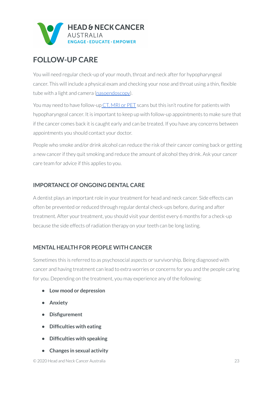

### <span id="page-22-0"></span>**FOLLOW-UP CARE**

You will need regular check-up of your mouth, throat and neck after for hypopharyngeal cancer. This will include a physical exam and checking your nose and throat using a thin, flexible tube with a light and camera [\(nasoendoscopy\)](https://www.headandneckcancer.org.au/diagnosis/head-and-neck-cancer-tests/nasoendoscopy-and-laryngoscopy#:~:text=A%20nasoendoscopy%20helps%20your%20doctor,done%20in%20your%20doctors%20office.).

You may need to have follow-up CT, [MRI](https://www.headandneckcancer.org.au/diagnosis/head-and-neck-cancer-tests/imaging-tests) or PET scans but this isn't routine for patients with hypopharyngeal cancer. It is important to keep up with follow-up appointments to make sure that if the cancer comes back it is caught early and can be treated. If you have any concerns between appointments you should contact your doctor.

People who smoke and/or drink alcohol can reduce the risk of their cancer coming back or getting a new cancerif they quit smoking and reduce the amount of alcohol they drink. Ask your cancer care team for advice if this applies to you.

### <span id="page-22-1"></span>**IMPORTANCE OF ONGOING DENTAL CARE**

A dentist plays an important role in your treatment for head and neck cancer. Side effects can often be prevented or reduced through regular dental check-ups before, during and after treatment. After your treatment, you should visit your dentist every 6 months for a check-up because the side effects of radiation therapy on your teeth can be long lasting.

### <span id="page-22-2"></span>**MENTAL HEALTH FOR PEOPLE WITH CANCER**

Sometimes this is referred to as psychosocial aspects or survivorship. Being diagnosed with cancer and having treatment can lead to extra worries or concerns for you and the people caring for you. Depending on the treatment, you may experience any of the following:

- **• Low mood or depression**
- **• Anxiety**
- **• Disfigurement**
- **• Difficulties with eating**
- **• Difficulties with speaking**
- **• Changes in sexual activity**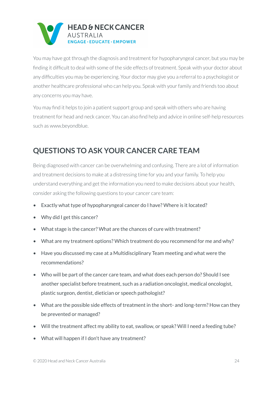

You may have got through the diagnosis and treatment for hypopharyngeal cancer, but you may be finding it difficult to deal with some of the side effects of treatment. Speak with your doctor about any difficulties you may be experiencing. Your doctor may give you a referral to a psychologist or another healthcare professional who can help you. Speak with your family and friends too about any concerns you may have.

You may find it helps to join a patient support group and speak with others who are having treatment for head and neck cancer. You can also find help and advice in online self-help resources such as www.beyondblue.

### <span id="page-23-0"></span>**QUESTIONS TO ASK YOUR CANCER CARE TEAM**

Being diagnosed with cancer can be overwhelming and confusing. There are a lot of information and treatment decisions to make at a distressing time for you and your family. To help you understand everything and get the information you need to make decisions about your health, consider asking the following questions to your cancer care team:

- Exactly what type of hypopharyngeal cancer do I have? Where is it located?
- Why did I get this cancer?
- What stage is the cancer? What are the chances of cure with treatment?
- What are my treatment options? Which treatment do you recommend for me and why?
- Have you discussed my case at a Multidisciplinary Team meeting and what were the recommendations?
- Who will be part of the cancer care team, and what does each person do? Should I see another specialist before treatment, such as a radiation oncologist, medical oncologist, plastic surgeon, dentist, dietician or speech pathologist?
- What are the possible side effects of treatment in the short- and long-term? How can they be prevented or managed?
- Will the treatment affect my ability to eat, swallow, or speak? Will I need a feeding tube?
- What will happen if I don't have any treatment?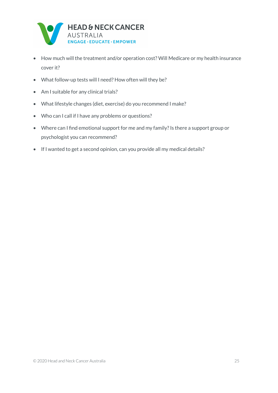

- How much will the treatment and/or operation cost? Will Medicare or my health insurance cover it?
- What follow-up tests will I need? How often will they be?
- Am I suitable for any clinical trials?
- What lifestyle changes (diet, exercise) do you recommend I make?
- Who can I call if I have any problems or questions?
- Where can I find emotional support for me and my family? Is there a support group or psychologist you can recommend?
- If I wanted to get a second opinion, can you provide all my medical details?